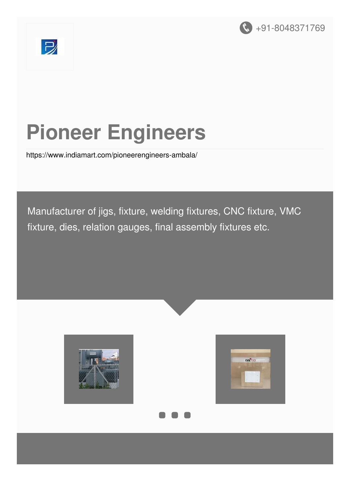



# **Pioneer Engineers**

<https://www.indiamart.com/pioneerengineers-ambala/>

Manufacturer of jigs, fixture, welding fixtures, CNC fixture, VMC fixture, dies, relation gauges, final assembly fixtures etc.





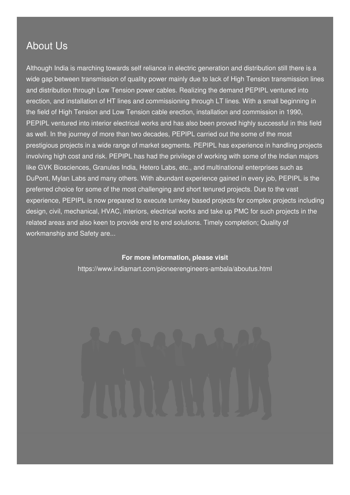#### About Us

Although India is marching towards self reliance in electric generation and distribution still there is a wide gap between transmission of quality power mainly due to lack of High Tension transmission lines and distribution through Low Tension power cables. Realizing the demand PEPIPL ventured into erection, and installation of HT lines and commissioning through LT lines. With a small beginning in the field of High Tension and Low Tension cable erection, installation and commission in 1990, PEPIPL ventured into interior electrical works and has also been proved highly successful in this field as well. In the journey of more than two decades, PEPIPL carried out the some of the most prestigious projects in a wide range of market segments. PEPIPL has experience in handling projects involving high cost and risk. PEPIPL has had the privilege of working with some of the Indian majors like GVK Biosciences, Granules India, Hetero Labs, etc., and multinational enterprises such as DuPont, Mylan Labs and many others. With abundant experience gained in every job, PEPIPL is the preferred choice for some of the most challenging and short tenured projects. Due to the vast experience, PEPIPL is now prepared to execute turnkey based projects for complex projects including design, civil, mechanical, HVAC, interiors, electrical works and take up PMC for such projects in the related areas and also keen to provide end to end solutions. Timely completion; Quality of workmanship and Safety are...

#### **For more information, please visit**

<https://www.indiamart.com/pioneerengineers-ambala/aboutus.html>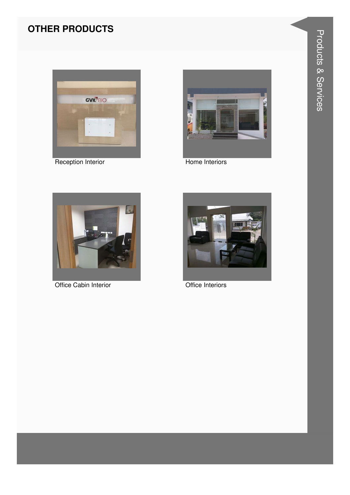### **OTHER PRODUCTS**



**Reception Interior** 



Home Interiors



Office Cabin Interior



Office Interiors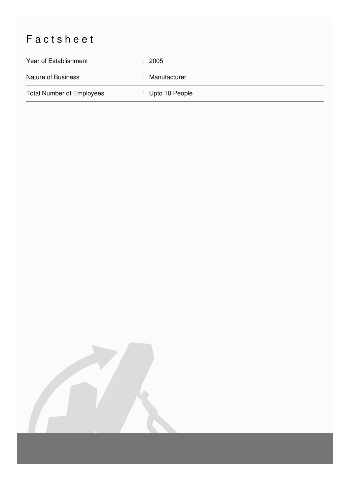## Factsheet

| Year of Establishment            | : 2005                      |
|----------------------------------|-----------------------------|
| <b>Nature of Business</b>        | : Manufacturer              |
| <b>Total Number of Employees</b> | $\therefore$ Upto 10 People |